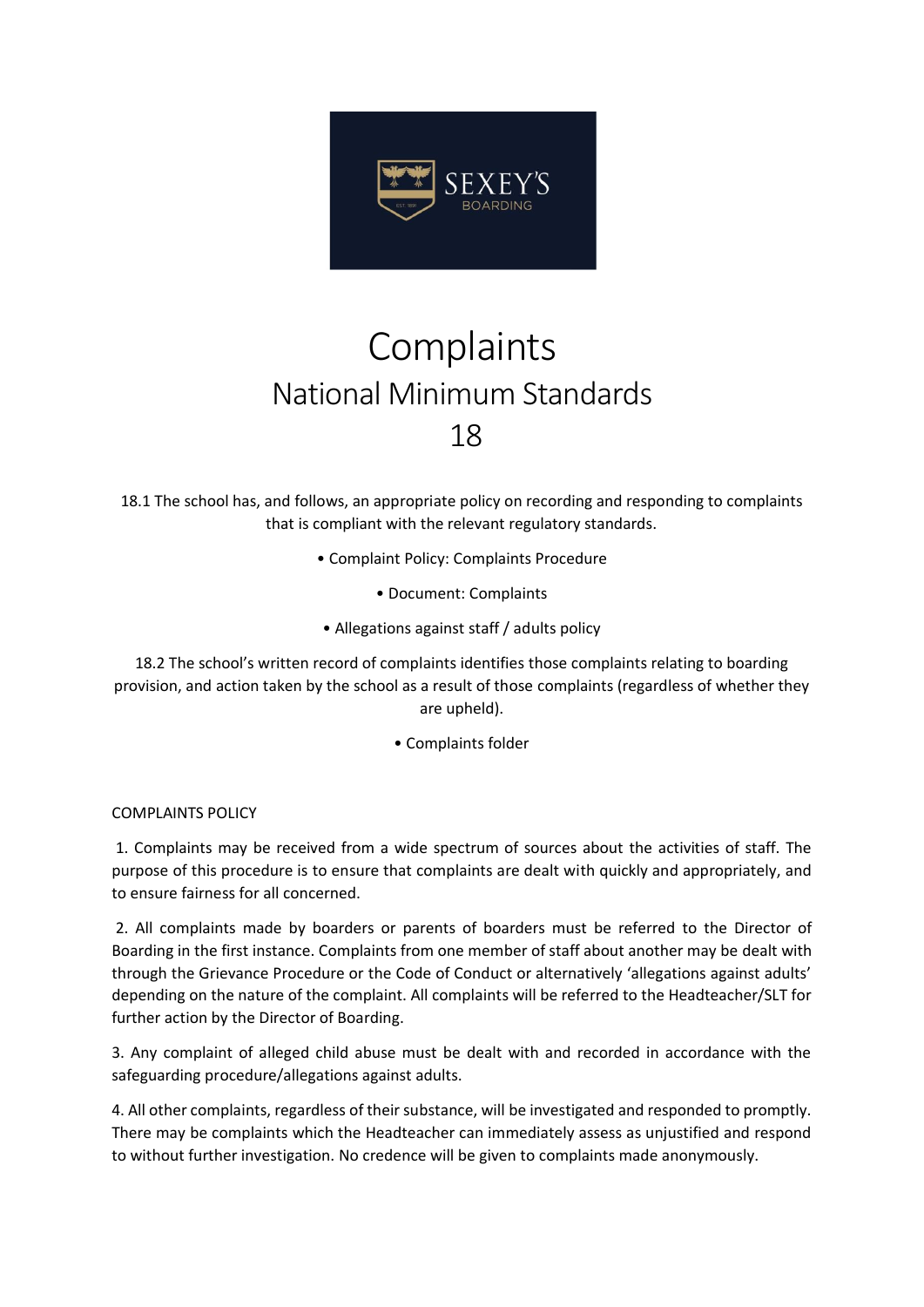

## **Complaints** National Minimum Standards 18

18.1 The school has, and follows, an appropriate policy on recording and responding to complaints that is compliant with the relevant regulatory standards.

- Complaint Policy: Complaints Procedure
	- Document: Complaints
- Allegations against staff / adults policy

18.2 The school's written record of complaints identifies those complaints relating to boarding provision, and action taken by the school as a result of those complaints (regardless of whether they are upheld).

• Complaints folder

COMPLAINTS POLICY

1. Complaints may be received from a wide spectrum of sources about the activities of staff. The purpose of this procedure is to ensure that complaints are dealt with quickly and appropriately, and to ensure fairness for all concerned.

2. All complaints made by boarders or parents of boarders must be referred to the Director of Boarding in the first instance. Complaints from one member of staff about another may be dealt with through the Grievance Procedure or the Code of Conduct or alternatively 'allegations against adults' depending on the nature of the complaint. All complaints will be referred to the Headteacher/SLT for further action by the Director of Boarding.

3. Any complaint of alleged child abuse must be dealt with and recorded in accordance with the safeguarding procedure/allegations against adults.

4. All other complaints, regardless of their substance, will be investigated and responded to promptly. There may be complaints which the Headteacher can immediately assess as unjustified and respond to without further investigation. No credence will be given to complaints made anonymously.